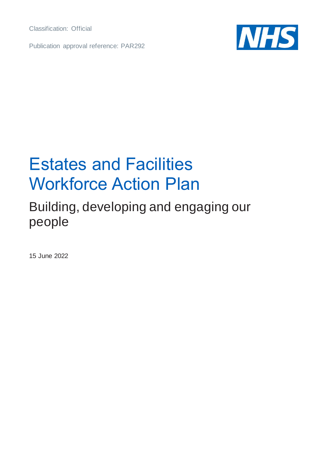Classification: Official

Publication approval reference: PAR292



## Estates and Facilities Workforce Action Plan

## Building, developing and engaging our people

15 June 2022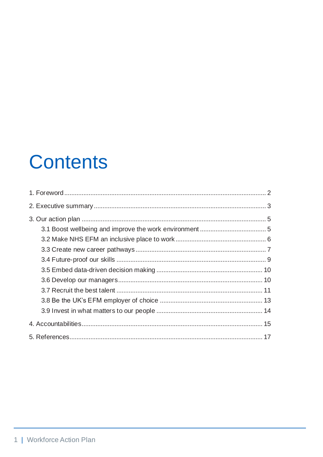# **Contents**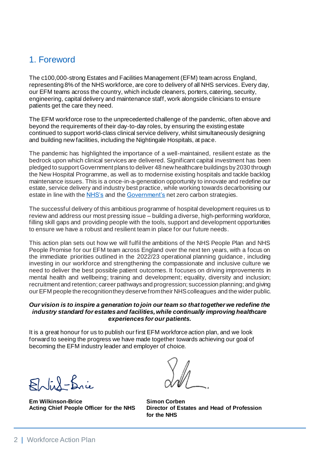## <span id="page-2-0"></span>1. Foreword

The c100,000-strong Estates and Facilities Management (EFM) team across England, representing 8% of the NHS workforce, are core to delivery of all NHS services. Every day, our EFM teams across the country, which include cleaners, porters, catering, security, engineering, capital delivery and maintenance staff, work alongside clinicians to ensure patients get the care they need.

The EFM workforce rose to the unprecedented challenge of the pandemic, often above and beyond the requirements of their day-to-day roles, by ensuring the existing estate continued to support world-class clinical service delivery, whilst simultaneously designing and building new facilities, including the Nightingale Hospitals, at pace.

The pandemic has highlighted the importance of a well-maintained, resilient estate as the bedrock upon which clinical services are delivered. Significant capital investment has been pledged to support Government plans to deliver 48 new healthcare buildings by 2030 through the New Hospital Programme, as well as to modernise existing hospitals and tackle backlog maintenance issues. This is a once-in-a-generation opportunity to innovate and redefine our estate, service delivery and industry best practice, while working towards decarbonising our estate in line with the [NHS's](https://www.england.nhs.uk/greenernhs/wp-content/uploads/sites/51/2020/10/delivering-a-net-zero-national-health-service.pdf) and th[e Government's](https://www.gov.uk/government/publications/net-zero-strategy) net zero carbon strategies.

The successful delivery of this ambitious programme of hospital development requires us to review and address our most pressing issue – building a diverse, high-performing workforce, filling skill gaps and providing people with the tools, support and development opportunities to ensure we have a robust and resilient team in place for our future needs.

This action plan sets out how we will fulfil the ambitions of the NHS People Plan and NHS People Promise for our EFM team across England over the next ten years, with a focus on the immediate priorities outlined in the 2022/23 operational planning guidance, including investing in our workforce and strengthening the compassionate and inclusive culture we need to deliver the best possible patient outcomes. It focuses on driving improvements in mental health and wellbeing; training and development; equality, diversity and inclusion; recruitment and retention; career pathways and progression; succession planning; and giving our EFM people the recognition they deserve from their NHS colleagues and the wider public.

#### *Our vision is to inspire a generation to join our team so that together we redefine the industry standard for estates and facilities, while continually improving healthcare experiences for our patients.*

It is a great honour for us to publish our first EFM workforce action plan, and we look forward to seeing the progress we have made together towards achieving our goal of becoming the EFM industry leader and employer of choice.

 $F(x) = \int_{0}^{x} f(x) dx$ 

**Em Wilkinson-Brice Simon Corben**

**Acting Chief People Officer for the NHS Director of Estates and Head of Profession for the NHS**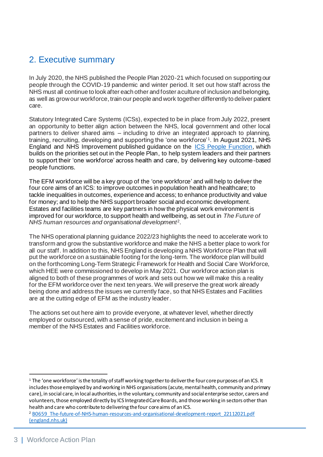## <span id="page-3-0"></span>2. Executive summary

In July 2020, the NHS published the People Plan 2020-21 which focused on supporting our people through the COVID-19 pandemic and winter period. It set out how staff across the NHS must all continue to look after each other and foster a culture of inclusion and belonging, as well as grow our workforce, train our people and work together differently to deliver patient care.

Statutory Integrated Care Systems (ICSs), expected to be in place from July 2022, present an opportunity to better align action between the NHS, local government and other local partners to deliver shared aims – including to drive an integrated approach to planning, training, recruiting, developing and supporting the 'one workforce' <sup>1</sup> . In August 2021, NHS England and NHS Improvement published guidance on the [ICS People Function](https://www.england.nhs.uk/wp-content/uploads/2021/06/B0662_Building-strong-integrated-care-systems-everywhere-guidance-on-the-ICS-people-function-August-2021.pdf), which builds on the priorities set out in the People Plan, to help system leaders and their partners to support their 'one workforce' across health and care, by delivering key outcome-based people functions.

The EFM workforce will be a key group of the 'one workforce' and will help to deliver the four core aims of an ICS: to improve outcomes in population health and healthcare; to tackle inequalities in outcomes, experience and access; to enhance productivity and value for money; and to help the NHS support broader social and economic development. Estates and facilities teams are key partners in how the physical work environment is improved for our workforce, to support health and wellbeing, as set out in *The Future of NHS human resources and organisational development*<sup>2</sup> .

The NHS operational planning guidance 2022/23 highlights the need to accelerate work to transform and grow the substantive workforce and make the NHS a better place to work for all our staff. In addition to this, NHS England is developing a NHS Workforce Plan that will put the workforce on a sustainable footing for the long-term. The workforce plan will build on the forthcoming Long-Term Strategic Framework for Health and Social Care Workforce, which HEE were commissioned to develop in May 2021. Our workforce action plan is aligned to both of these programmes of work and sets out how we will make this a reality for the EFM workforce over the next ten years. We will preserve the great work already being done and address the issues we currently face, so that NHS Estates and Facilities are at the cutting edge of EFM as the industry leader.

The actions set out here aim to provide everyone, at whatever level, whether directly employed or outsourced, with a sense of pride, excitement and inclusion in being a member of the NHS Estates and Facilities workforce.

 $1$  The 'one workforce' is the totality of staff working together to deliver the four core purposes of an ICS. It includes those employed by and working in NHS organisations (acute, mental health, community and primary care), in social care, in local authorities, in the voluntary, community and social enterprise sector, carers and volunteers, those employed directly by ICS Integrated Care Boards, and those working in sectors other than health and care who contribute to delivering the four core aims of an ICS.

<sup>2</sup> [B0659\\_The-future-of-NHS-human-resources-and-organisational-development-report\\_22112021.pdf](https://www.england.nhs.uk/wp-content/uploads/2021/11/B0659_The-future-of-NHS-human-resources-and-organisational-development-report_22112021.pdf)  [\(england.nhs.uk\)](https://www.england.nhs.uk/wp-content/uploads/2021/11/B0659_The-future-of-NHS-human-resources-and-organisational-development-report_22112021.pdf)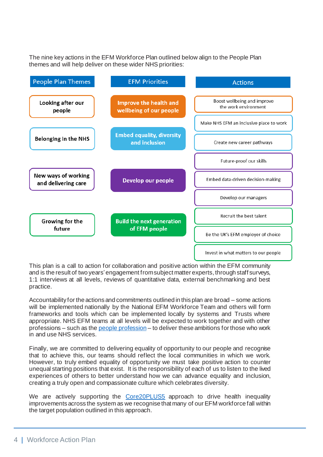The nine key actions in the EFM Workforce Plan outlined below align to the People Plan themes and will help deliver on these wider NHS priorities:

| <b>People Plan Themes</b>                  | <b>EFM Priorities</b>                             | <b>Actions</b>                                      |
|--------------------------------------------|---------------------------------------------------|-----------------------------------------------------|
| Looking after our<br>people                | Improve the health and<br>wellbeing of our people | Boost wellbeing and improve<br>the work environment |
|                                            |                                                   | Make NHS EFM an inclusive place to work             |
| <b>Belonging in the NHS</b>                | <b>Embed equality, diversity</b><br>and inclusion | Create new career pathways                          |
|                                            |                                                   | Future-proof our skills                             |
| New ways of working<br>and delivering care | Develop our people                                | Embed data-driven decision-making                   |
|                                            |                                                   | Develop our managers                                |
| Growing for the<br>future                  | <b>Build the next generation</b><br>of EFM people | Recruit the best talent                             |
|                                            |                                                   | Be the UK's EFM employer of choice                  |
|                                            |                                                   | Invest in what matters to our people                |

This plan is a call to action for collaboration and positive action within the EFM community and is the result of two years'engagement fromsubject matter experts, through staff surveys, 1:1 interviews at all levels, reviews of quantitative data, external benchmarking and best practice.

Accountability for the actions and commitments outlined in this plan are broad – some actions will be implemented nationally by the National EFM Workforce Team and others will form frameworks and tools which can be implemented locally by systems and Trusts where appropriate. NHS EFM teams at all levels will be expected to work together and with other professions – such as th[e people profession](https://www.england.nhs.uk/wp-content/uploads/2021/11/B0659_The-future-of-NHS-human-resources-and-organisational-development-report_22112021.pdf) – to deliver these ambitions for those who work in and use NHS services.

Finally, we are committed to delivering equality of opportunity to our people and recognise that to achieve this, our teams should reflect the local communities in which we work. However, to truly embed equality of opportunity we must take positive action to counter unequal starting positions that exist. It is the responsibility of each of us to listen to the lived experiences of others to better understand how we can advance equality and inclusion, creating a truly open and compassionate culture which celebrates diversity.

We are actively supporting the [Core20PLUS5](https://www.england.nhs.uk/about/equality/equality-hub/core20plus5/) approach to drive health inequality improvements across the system as we recognise that many of our EFM workforce fall within the target population outlined in this approach.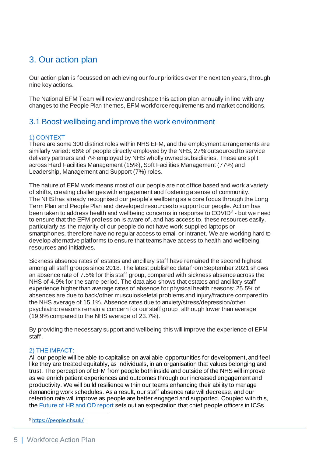## <span id="page-5-0"></span>3. Our action plan

Our action plan is focussed on achieving our four priorities over the next ten years, through nine key actions.

The National EFM Team will review and reshape this action plan annually in line with any changes to the People Plan themes, EFM workforce requirements and market conditions.

## <span id="page-5-1"></span>3.1 Boost wellbeing and improve the work environment

## 1) CONTEXT

There are some 300 distinct roles within NHS EFM, and the employment arrangements are similarly varied: 66% of people directly employed by the NHS, 27% outsourced to service delivery partners and 7% employed by NHS wholly owned subsidiaries. These are split across Hard Facilities Management (15%), Soft Facilities Management (77%) and Leadership, Management and Support (7%) roles.

The nature of EFM work means most of our people are not office based and work a variety of shifts, creating challenges with engagement and fostering a sense of community. The NHS has already recognised our people's wellbeing as a core focus through the Long Term Plan and People Plan and developed resources to support our people. Action has been taken to address health and wellbeing concerns in response to COVID<sup>3</sup> - but we need to ensure that the EFM profession is aware of, and has access to, these resources easily, particularly as the majority of our people do not have work supplied laptops or smartphones, therefore have no regular access to email or intranet. We are working hard to develop alternative platforms to ensure that teams have access to health and wellbeing resources and initiatives.

Sickness absence rates of estates and ancillary staff have remained the second highest among all staff groups since 2018. The latest published data from September 2021 shows an absence rate of 7.5% for this staff group, compared with sickness absence across the NHS of 4.9% for the same period. The data also shows that estates and ancillary staff experience higher than average rates of absence for physical health reasons: 25.5% of absences are due to back/other musculoskeletal problems and injury/fracture compared to the NHS average of 15.1%. Absence rates due to anxiety/stress/depression/other psychiatric reasons remain a concern for our staff group, although lower than average (19.9% compared to the NHS average of 23.7%).

By providing the necessary support and wellbeing this will improve the experience of EFM staff.

## 2) THE IMPACT:

All our people will be able to capitalise on available opportunities for development, and feel like they are treated equitably, as individuals, in an organisation that values belonging and trust. The perception of EFM from people both inside and outside of the NHS will improve as we enrich patient experiences and outcomes through our increased engagement and productivity. We will build resilience within our teams enhancing their ability to manage demanding work schedules. As a result, our staff absence rate will decrease, and our retention rate will improve as people are better engaged and supported. Coupled with this, the [Future of HR and OD report](https://www.england.nhs.uk/wp-content/uploads/2021/11/B0659_The-future-of-NHS-human-resources-and-organisational-development-report_22112021.pdf) sets out an expectation that chief people officers in ICSs

<sup>3</sup> <https://people.nhs.uk/>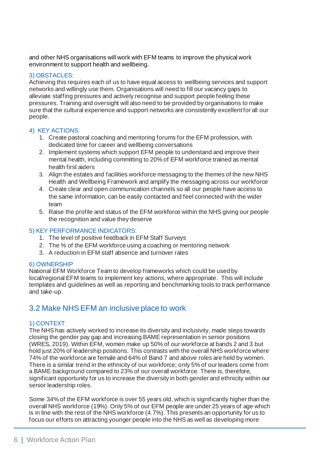and other NHS organisations will work with EFM teams to improve the physical work environment to support health and wellbeing.

#### 3) OBSTACLES:

Achieving this requires each of us to have equal access to wellbeing services and support networks and willingly use them. Organisations will need to fill our vacancy gaps to alleviate staffing pressures and actively recognise and support people feeling these pressures. Training and oversight will also need to be provided by organisations to make sure that the cultural experience and support networks are consistently excellent for all our people.

## 4) KEY ACTIONS:

- 1. Create pastoral coaching and mentoring forums for the EFM profession, with dedicated time for career and wellbeing conversations
- 2. Implement systems which support EFM people to understand and improve their mental health, including committing to 20% of EFM workforce trained as mental health first aiders
- 3. Align the estates and facilities workforce messaging to the themes of the new NHS Health and Wellbeing Framework and amplify the messaging across our workforce
- 4. Create clear and open communication channels so all our people have access to the same information, can be easily contacted and feel connected with the wider team
- 5. Raise the profile and status of the EFM workforce within the NHS giving our people the recognition and value they deserve

#### 5) KEY PERFORMANCE INDICATORS:

- 1. The level of positive feedback in EFM Staff Surveys
- 2. The % of the EFM workforce using a coaching or mentoring network
- 3. A reduction in EFM staff absence and turnover rates

#### 6) OWNERSHIP

National EFM Workforce Team to develop frameworks which could be used by local/regional EFM teams to implement key actions, where appropriate. This will include templates and guidelines as well as reporting and benchmarking tools to track performance and take-up.

## <span id="page-6-0"></span>3.2 Make NHS EFM an inclusive place to work

## 1) CONTEXT

The NHS has actively worked to increase its diversity and inclusivity, made steps towards closing the gender pay gap and increasing BAME representation in senior positions (WRES, 2019). Within EFM, women make up 50% of our workforce at bands 2 and 3 but hold just 20% of leadership positions. This contrasts with the overall NHS workforce where 74% of the workforce are female and 64% of Band 7 and above roles are held by women. There is a similar trend in the ethnicity of our workforce; only 5% of our leaders come from a BAME background compared to 23% of our overall workforce. There is, therefore, significant opportunity for us to increase the diversity in both gender and ethnicity within our senior leadership roles.

Some 34% of the EFM workforce is over 55 years old, which is significantly higher than the overall NHS workforce (19%). Only 5% of our EFM people are under 25 years of age which is in line with the rest of the NHS workforce (4.7%). This presents an opportunity for us to focus our efforts on attracting younger people into the NHS as well as developing more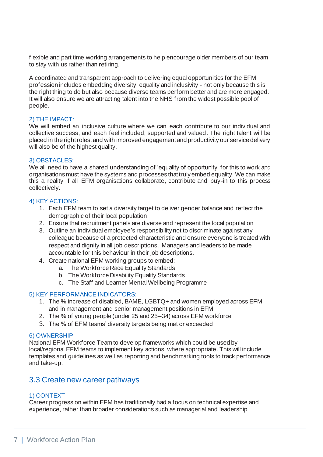flexible and part time working arrangements to help encourage older members of our team to stay with us rather than retiring.

A coordinated and transparent approach to delivering equal opportunities for the EFM profession includes embedding diversity, equality and inclusivity - not only because this is the right thing to do but also because diverse teams perform better and are more engaged. It will also ensure we are attracting talent into the NHS from the widest possible pool of people.

## 2) THE IMPACT:

We will embed an inclusive culture where we can each contribute to our individual and collective success, and each feel included, supported and valued. The right talent will be placed in the right roles, and with improved engagement and productivity our service delivery will also be of the highest quality.

## 3) OBSTACLES:

We all need to have a shared understanding of 'equality of opportunity' for this to work and organisations must have the systems and processes that truly embed equality. We can make this a reality if all EFM organisations collaborate, contribute and buy-in to this process collectively.

## 4) KEY ACTIONS:

- 1. Each EFM team to set a diversity target to deliver gender balance and reflect the demographic of their local population
- 2. Ensure that recruitment panels are diverse and represent the local population
- 3. Outline an individual employee's responsibility not to discriminate against any colleague because of a protected characteristic and ensure everyone is treated with respect and dignity in all job descriptions. Managers and leaders to be made accountable for this behaviour in their job descriptions.
- 4. Create national EFM working groups to embed:
	- a. The Workforce Race Equality Standards
	- b. The Workforce Disability Equality Standards
	- c. The Staff and Learner Mental Wellbeing Programme

## 5) KEY PERFORMANCE INDICATORS:

- 1. The % increase of disabled, BAME, LGBTQ+ and women employed across EFM and in management and senior management positions in EFM
- 2. The % of young people (under 25 and 25–34) across EFM workforce
- 3. The % of EFM teams' diversity targets being met or exceeded

## 6) OWNERSHIP

National EFM Workforce Team to develop frameworks which could be used by local/regional EFM teams to implement key actions, where appropriate. This will include templates and guidelines as well as reporting and benchmarking tools to track performance and take-up.

## <span id="page-7-0"></span>3.3 Create new career pathways

## 1) CONTEXT

Career progression within EFM has traditionally had a focus on technical expertise and experience, rather than broader considerations such as managerial and leadership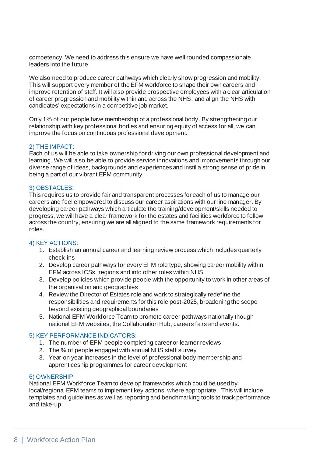competency. We need to address this ensure we have well rounded compassionate leaders into the future.

We also need to produce career pathways which clearly show progression and mobility. This will support every member of the EFM workforce to shape their own careers and improve retention of staff. It will also provide prospective employees with a clear articulation of career progression and mobility within and across the NHS, and align the NHS with candidates' expectations in a competitive job market.

Only 1% of our people have membership of a professional body. By strengthening our relationship with key professional bodies and ensuring equity of access for all, we can improve the focus on continuous professional development.

## 2) THE IMPACT:

Each of us will be able to take ownership for driving our own professional development and learning. We will also be able to provide service innovations and improvements through our diverse range of ideas, backgrounds and experiences and instil a strong sense of pride in being a part of our vibrant EFM community.

#### 3) OBSTACLES:

This requires us to provide fair and transparent processes for each of us to manage our careers and feel empowered to discuss our career aspirations with our line manager. By developing career pathways which articulate the training/development/skills needed to progress, we will have a clear framework for the estates and facilities workforce to follow across the country, ensuring we are all aligned to the same framework requirements for roles.

## 4) KEY ACTIONS:

- 1. Establish an annual career and learning review process which includes quarterly check-ins
- 2. Develop career pathways for every EFM role type, showing career mobility within EFM across ICSs, regions and into other roles within NHS
- 3. Develop policies which provide people with the opportunity to work in other areas of the organisation and geographies
- 4. Review the Director of Estates role and work to strategically redefine the responsibilities and requirements for this role post-2025, broadening the scope beyond existing geographical boundaries
- 5. National EFM Workforce Team to promote career pathways nationally though national EFM websites, the Collaboration Hub, careers fairs and events.

## 5) KEY PERFORMANCE INDICATORS:

- 1. The number of EFM people completing career or learner reviews
- 2. The % of people engaged with annual NHS staff survey
- 3. Year on year increases in the level of professional body membership and apprenticeship programmes for career development

#### 6) OWNERSHIP

National EFM Workforce Team to develop frameworks which could be used by local/regional EFM teams to implement key actions, where appropriate. This will include templates and guidelines as well as reporting and benchmarking tools to track performance and take-up.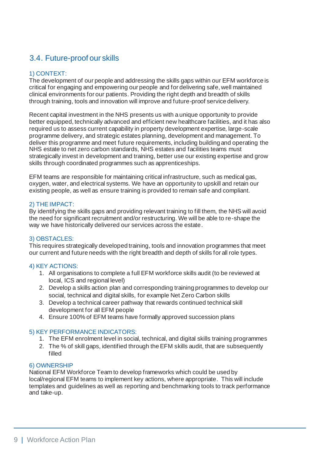## <span id="page-9-0"></span>3.4. Future-proof our skills

## 1) CONTEXT:

The development of our people and addressing the skills gaps within our EFM workforce is critical for engaging and empowering our people and for delivering safe, well maintained clinical environments for our patients. Providing the right depth and breadth of skills through training, tools and innovation will improve and future-proof service delivery.

Recent capital investment in the NHS presents us with a unique opportunity to provide better equipped, technically advanced and efficient new healthcare facilities, and it has also required us to assess current capability in property development expertise, large-scale programme delivery, and strategic estates planning, development and management. To deliver this programme and meet future requirements, including building and operating the NHS estate to net zero carbon standards, NHS estates and facilities teams must strategically invest in development and training, better use our existing expertise and grow skills through coordinated programmes such as apprenticeships.

EFM teams are responsible for maintaining critical infrastructure, such as medical gas, oxygen, water, and electrical systems. We have an opportunity to upskill and retain our existing people, as well as ensure training is provided to remain safe and compliant.

## 2) THE IMPACT:

By identifying the skills gaps and providing relevant training to fill them, the NHS will avoid the need for significant recruitment and/or restructuring. We will be able to re-shape the way we have historically delivered our services across the estate.

## 3) OBSTACLES:

This requires strategically developed training, tools and innovation programmes that meet our current and future needs with the right breadth and depth of skills for all role types.

## 4) KEY ACTIONS:

- 1. All organisations to complete a full EFM workforce skills audit (to be reviewed at local, ICS and regional level)
- 2. Develop a skills action plan and corresponding training programmes to develop our social, technical and digital skills, for example Net Zero Carbon skills
- 3. Develop a technical career pathway that rewards continued technical skill development for all EFM people
- 4. Ensure 100% of EFM teams have formally approved succession plans

## 5) KEY PERFORMANCE INDICATORS:

- 1. The EFM enrolment level in social, technical, and digital skills training programmes
- 2. The % of skill gaps, identified through the EFM skills audit, that are subsequently filled

#### 6) OWNERSHIP

National EFM Workforce Team to develop frameworks which could be used by local/regional EFM teams to implement key actions, where appropriate. This will include templates and guidelines as well as reporting and benchmarking tools to track performance and take-up.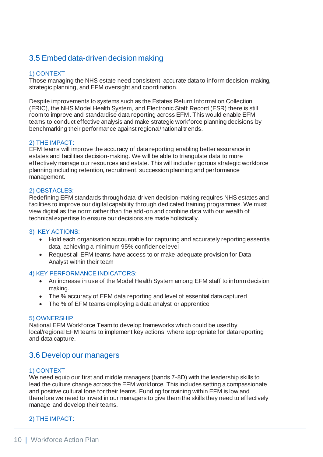## <span id="page-10-0"></span>3.5 Embed data-driven decision making

## 1) CONTEXT

Those managing the NHS estate need consistent, accurate data to inform decision-making, strategic planning, and EFM oversight and coordination.

Despite improvements to systems such as the Estates Return Information Collection (ERIC), the NHS Model Health System, and Electronic Staff Record (ESR) there is still room to improve and standardise data reporting across EFM. This would enable EFM teams to conduct effective analysis and make strategic workforce planning decisions by benchmarking their performance against regional/national trends.

## 2) THE IMPACT:

EFM teams will improve the accuracy of data reporting enabling better assurance in estates and facilities decision-making. We will be able to triangulate data to more effectively manage our resources and estate. This will include rigorous strategic workforce planning including retention, recruitment, succession planning and performance management.

## 2) OBSTACLES:

Redefining EFM standards through data-driven decision-making requires NHS estates and facilities to improve our digital capability through dedicated training programmes. We must view digital as the norm rather than the add-on and combine data with our wealth of technical expertise to ensure our decisions are made holistically.

## 3) KEY ACTIONS:

- Hold each organisation accountable for capturing and accurately reporting essential data, achieving a minimum 95% confidence level
- Request all EFM teams have access to or make adequate provision for Data Analyst within their team

## 4) KEY PERFORMANCE INDICATORS:

- An increase in use of the Model Health System among EFM staff to inform decision making.
- The % accuracy of EFM data reporting and level of essential data captured
- The % of EFM teams employing a data analyst or apprentice

## 5) OWNERSHIP

National EFM Workforce Team to develop frameworks which could be used by local/regional EFM teams to implement key actions, where appropriate for data reporting and data capture.

## <span id="page-10-1"></span>3.6 Develop our managers

## 1) CONTEXT

We need equip our first and middle managers (bands 7-8D) with the leadership skills to lead the culture change across the EFM workforce. This includes setting a compassionate and positive cultural tone for their teams. Funding for training within EFM is low and therefore we need to invest in our managers to give them the skills they need to effectively manage and develop their teams.

## 2) THE IMPACT: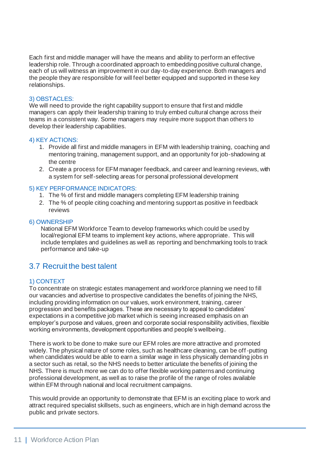Each first and middle manager will have the means and ability to perform an effective leadership role. Through a coordinated approach to embedding positive cultural change, each of us will witness an improvement in our day-to-day experience. Both managers and the people they are responsible for will feel better equipped and supported in these key relationships.

## 3) OBSTACLES:

We will need to provide the right capability support to ensure that first and middle managers can apply their leadership training to truly embed cultural change across their teams in a consistent way. Some managers may require more support than others to develop their leadership capabilities.

## 4) KEY ACTIONS:

- 1. Provide all first and middle managers in EFM with leadership training, coaching and mentoring training, management support, and an opportunity for job-shadowing at the centre
- 2. Create a process for EFM manager feedback, and career and learning reviews, with a system for self-selecting areas for personal professional development

## 5) KEY PERFORMANCE INDICATORS:

- 1. The % of first and middle managers completing EFM leadership training
- 2. The % of people citing coaching and mentoring support as positive in feedback reviews

#### 6) OWNERSHIP

National EFM Workforce Team to develop frameworks which could be used by local/regional EFM teams to implement key actions, where appropriate. This will include templates and guidelines as well as reporting and benchmarking tools to track performance and take-up

## <span id="page-11-0"></span>3.7 Recruit the best talent

## 1) CONTEXT

To concentrate on strategic estates management and workforce planning we need to fill our vacancies and advertise to prospective candidates the benefits of joining the NHS, including providing information on our values, work environment, training, career progression and benefits packages. These are necessary to appeal to candidates' expectations in a competitive job market which is seeing increased emphasis on an employer's purpose and values, green and corporate social responsibility activities, flexible working environments, development opportunities and people's wellbeing.

There is work to be done to make sure our EFM roles are more attractive and promoted widely. The physical nature of some roles, such as healthcare cleaning, can be off -putting when candidates would be able to earn a similar wage in less physically demanding jobs in a sector such as retail, so the NHS needs to better articulate the benefits of joining the NHS. There is much more we can do to offer flexible working patterns and continuing professional development, as well as to raise the profile of the range of roles available within EFM through national and local recruitment campaigns.

This would provide an opportunity to demonstrate that EFM is an exciting place to work and attract required specialist skillsets, such as engineers, which are in high demand across the public and private sectors.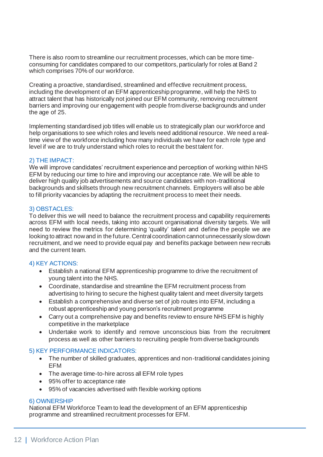There is also room to streamline our recruitment processes, which can be more timeconsuming for candidates compared to our competitors, particularly for roles at Band 2 which comprises 70% of our workforce.

Creating a proactive, standardised, streamlined and effective recruitment process, including the development of an EFM apprenticeship programme, will help the NHS to attract talent that has historically not joined our EFM community, removing recruitment barriers and improving our engagement with people from diverse backgrounds and under the age of 25.

Implementing standardised job titles will enable us to strategically plan our workforce and help organisations to see which roles and levels need additional resource. We need a realtime view of the workforce including how many individuals we have for each role type and level if we are to truly understand which roles to recruit the best talent for.

## 2) THE IMPACT:

We will improve candidates' recruitment experience and perception of working within NHS EFM by reducing our time to hire and improving our acceptance rate. We will be able to deliver high quality job advertisements and source candidates with non-traditional backgrounds and skillsets through new recruitment channels. Employers will also be able to fill priority vacancies by adapting the recruitment process to meet their needs.

## 3) OBSTACLES:

To deliver this we will need to balance the recruitment process and capability requirements across EFM with local needs, taking into account organisational diversity targets. We will need to review the metrics for determining 'quality' talent and define the people we are looking to attract now and in the future. Central coordination cannot unnecessarily slow down recruitment, and we need to provide equal pay and benefits package between new recruits and the current team.

## 4) KEY ACTIONS:

- Establish a national EFM apprenticeship programme to drive the recruitment of young talent into the NHS.
- Coordinate, standardise and streamline the EFM recruitment process from advertising to hiring to secure the highest quality talent and meet diversity targets
- Establish a comprehensive and diverse set of job routes into EFM, including a robust apprenticeship and young person's recruitment programme
- Carry out a comprehensive pay and benefits review to ensure NHS EFM is highly competitive in the marketplace
- Undertake work to identify and remove unconscious bias from the recruitment process as well as other barriers to recruiting people from diverse backgrounds

## 5) KEY PERFORMANCE INDICATORS:

- The number of skilled graduates, apprentices and non-traditional candidates joining EFM
- The average time-to-hire across all EFM role types
- 95% offer to acceptance rate
- 95% of vacancies advertised with flexible working options

## 6) OWNERSHIP

National EFM Workforce Team to lead the development of an EFM apprenticeship programme and streamlined recruitment processes for EFM.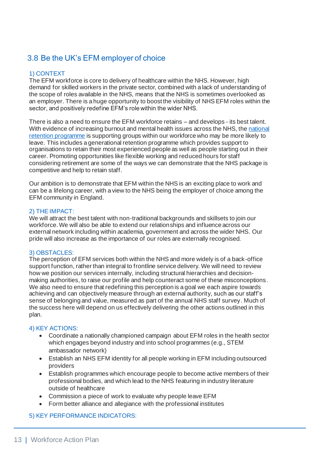## <span id="page-13-0"></span>3.8 Be the UK's EFM employer of choice

## 1) CONTEXT

The EFM workforce is core to delivery of healthcare within the NHS. However, high demand for skilled workers in the private sector, combined with a lack of understanding of the scope of roles available in the NHS, means that the NHS is sometimes overlooked as an employer. There is a huge opportunity to boost the visibility of NHS EFM roles within the sector, and positively redefine EFM's role within the wider NHS.

There is also a need to ensure the EFM workforce retains – and develops - its best talent. With evidence of increasing burnout and mental health issues across the NHS, the [national](https://www.england.nhs.uk/looking-after-our-people/the-programme-and-resources/)  [retention programme](https://www.england.nhs.uk/looking-after-our-people/the-programme-and-resources/) is supporting groups within our workforce who may be more likely to leave. This includes a generational retention programme which provides support to organisations to retain their most experienced people as well as people starting out in their career. Promoting opportunities like flexible working and reduced hours for staff considering retirement are some of the ways we can demonstrate that the NHS package is competitive and help to retain staff.

Our ambition is to demonstrate that EFM within the NHS is an exciting place to work and can be a lifelong career, with a view to the NHS being the employer of choice among the EFM community in England.

## 2) THE IMPACT:

We will attract the best talent with non-traditional backgrounds and skillsets to join our workforce. We will also be able to extend our relationships and influence across our external network including within academia, government and across the wider NHS. Our pride will also increase as the importance of our roles are externally recognised.

## 3) OBSTACLES:

The perception of EFM services both within the NHS and more widely is of a back-office support function, rather than integral to frontline service delivery. We will need to review how we position our services internally, including structural hierarchies and decisionmaking authorities, to raise our profile and help counteract some of these misconceptions. We also need to ensure that redefining this perception is a goal we each aspire towards achieving and can objectively measure through an external authority, such as our staff's sense of belonging and value, measured as part of the annual NHS staff survey. Much of the success here will depend on us effectively delivering the other actions outlined in this plan.

## 4) KEY ACTIONS:

- Coordinate a nationally championed campaign about EFM roles in the health sector which engages beyond industry and into school programmes (e.g., STEM ambassador network)
- Establish an NHS EFM identity for all people working in EFM including outsourced providers
- Establish programmes which encourage people to become active members of their professional bodies, and which lead to the NHS featuring in industry literature outside of healthcare
- Commission a piece of work to evaluate why people leave EFM
- Form better alliance and allegiance with the professional institutes

## 5) KEY PERFORMANCE INDICATORS: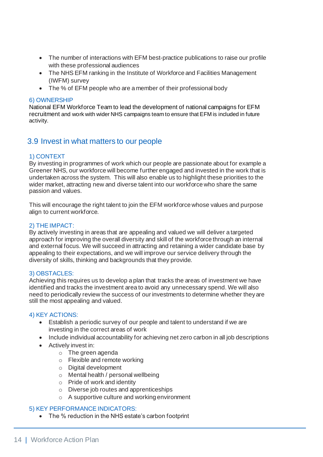- The number of interactions with EFM best-practice publications to raise our profile with these professional audiences
- The NHS EFM ranking in the Institute of Workforce and Facilities Management (IWFM) survey
- The % of EFM people who are a member of their professional body

#### 6) OWNERSHIP

National EFM Workforce Team to lead the development of national campaigns for EFM recruitment and work with wider NHS campaigns team to ensure that EFM is included in future activity.

## <span id="page-14-0"></span>3.9 Invest in what matters to our people

## 1) CONTEXT

By investing in programmes of work which our people are passionate about for example a Greener NHS, our workforce will become further engaged and invested in the work that is undertaken across the system. This will also enable us to highlight these priorities to the wider market, attracting new and diverse talent into our workforce who share the same passion and values.

This will encourage the right talent to join the EFM workforce whose values and purpose align to current workforce.

## 2) THE IMPACT:

By actively investing in areas that are appealing and valued we will deliver a targeted approach for improving the overall diversity and skill of the workforce through an internal and external focus. We will succeed in attracting and retaining a wider candidate base by appealing to their expectations, and we will improve our service delivery through the diversity of skills, thinking and backgrounds that they provide.

## 3) OBSTACLES:

Achieving this requires us to develop a plan that tracks the areas of investment we have identified and tracks the investment area to avoid any unnecessary spend. We will also need to periodically review the success of our investments to determine whether they are still the most appealing and valued.

## 4) KEY ACTIONS:

- Establish a periodic survey of our people and talent to understand if we are investing in the correct areas of work
- Include individual accountability for achieving net zero carbon in all job descriptions
- Actively invest in:
	- o The green agenda
	- o Flexible and remote working
	- o Digital development
	- o Mental health / personal wellbeing
	- o Pride of work and identity
	- o Diverse job routes and apprenticeships
	- o A supportive culture and working environment

## 5) KEY PERFORMANCE INDICATORS:

• The % reduction in the NHS estate's carbon footprint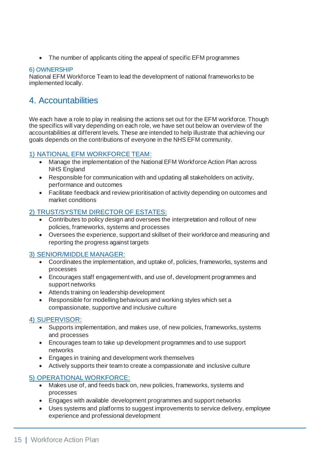• The number of applicants citing the appeal of specific EFM programmes

## 6) OWNERSHIP

National EFM Workforce Team to lead the development of national frameworks to be implemented locally.

## <span id="page-15-0"></span>4. Accountabilities

We each have a role to play in realising the actions set out for the EFM workforce. Though the specifics will vary depending on each role, we have set out below an overview of the accountabilities at different levels. These are intended to help illustrate that achieving our goals depends on the contributions of everyone in the NHS EFM community.

## 1) NATIONAL EFM WORKFORCE TEAM:

- Manage the implementation of the National EFM Workforce Action Plan across NHS England
- Responsible for communication with and updating all stakeholders on activity, performance and outcomes
- Facilitate feedback and review prioritisation of activity depending on outcomes and market conditions

## 2) TRUST/SYSTEM DIRECTOR OF ESTATES:

- Contributes to policy design and oversees the interpretation and rollout of new policies, frameworks, systems and processes
- Oversees the experience, support and skillset of their workforce and measuring and reporting the progress against targets

## 3) SENIOR/MIDDLE MANAGER:

- Coordinates the implementation, and uptake of, policies, frameworks, systems and processes
- Encourages staff engagement with, and use of, development programmes and support networks
- Attends training on leadership development
- Responsible for modelling behaviours and working styles which set a compassionate, supportive and inclusive culture

## 4) SUPERVISOR:

- Supports implementation, and makes use, of new policies, frameworks, systems and processes
- Encourages team to take up development programmes and to use support networks
- Engages in training and development work themselves
- Actively supports their team to create a compassionate and inclusive culture

## 5) OPERATIONAL WORKFORCE:

- Makes use of, and feeds back on, new policies, frameworks, systems and processes
- Engages with available development programmes and support networks
- Uses systems and platforms to suggest improvements to service delivery, employee experience and professional development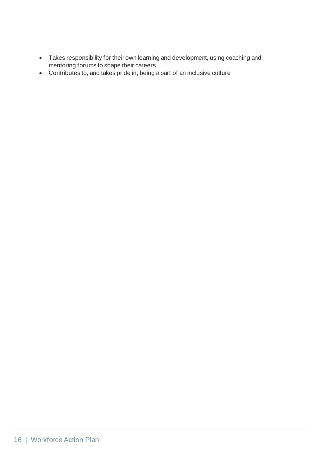- Takes responsibility for their own learning and development, using coaching and mentoring forums to shape their careers
- Contributes to, and takes pride in, being a part of an inclusive culture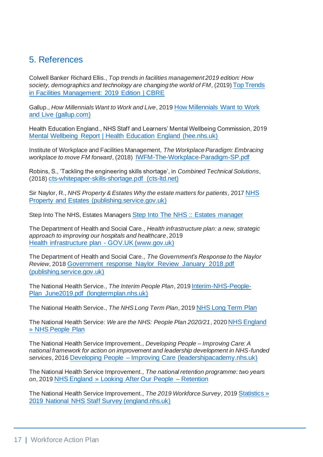## <span id="page-17-0"></span>5. References

Colwell Banker Richard Ellis., *Top trends in facilities management 2019 edition: How society, demographics and technology are changing the world of FM*, (2019) [Top Trends](https://www.cbre.co.uk/research-and-reports/Top-Trends-in-Facilities-Management-2019-Edition)  [in Facilities Management: 2019 Edition | CBRE](https://www.cbre.co.uk/research-and-reports/Top-Trends-in-Facilities-Management-2019-Edition)

Gallup., *How Millennials Want to Work and Live*, 2019 [How Millennials Want to Work](https://www.gallup.com/workplace/238073/millennials-work-live.aspx)  [and Live \(gallup.com\)](https://www.gallup.com/workplace/238073/millennials-work-live.aspx)

Health Education England., NHS Staff and Learners' Mental Wellbeing Commission, 2019 [Mental Wellbeing Report | Health Education England \(hee.nhs.uk\)](https://www.hee.nhs.uk/our-work/mental-wellbeing-report)

Institute of Workplace and Facilities Management, *The Workplace Paradigm: Embracing workplace to move FM forward*, (2018) [IWFM-The-Workplace-Paradigm-SP.pdf](https://www.iwfm.org.uk/uploads/assets/ffcbf128-6e9a-465a-84f38b43dae94cba/IWFM-The-Workplace-Paradigm-SP.pdf)

Robins, S., 'Tackling the engineering skills shortage', in *Combined Technical Solutions*, (2018) [cts-whitepaper-skills-shortage.pdf \(cts-ltd.net\)](https://www.cts-ltd.net/wp-content/uploads/2018/10/cts-whitepaper-skills-shortage.pdf)

Sir Naylor, R., *NHS Property & Estates Why the estate matters for patients*, 2017 [NHS](https://assets.publishing.service.gov.uk/government/uploads/system/uploads/attachment_data/file/607725/Naylor_review.pdf)  [Property and Estates \(publishing.service.gov.uk\)](https://assets.publishing.service.gov.uk/government/uploads/system/uploads/attachment_data/file/607725/Naylor_review.pdf)

Step Into The NHS, Estates Managers [Step Into The NHS :: Estates manager](https://www.stepintothenhs.nhs.uk/careers/estates-officer)

The Department of Health and Social Care., *Health infrastructure plan: a new, strategic approach to improving our hospitals and healthcare*, 2019 [Health infrastructure plan -](https://www.gov.uk/government/publications/health-infrastructure-plan) GOV.UK (www.gov.uk)

The Department of Health and Social Care., *The Government's Response to the Naylor Review*, 2018 [Government\\_response\\_Naylor\\_Review\\_January\\_2018.pdf](https://assets.publishing.service.gov.uk/government/uploads/system/uploads/attachment_data/file/677477/Government_response_Naylor_Review_January_2018.pdf)  [\(publishing.service.gov.uk\)](https://assets.publishing.service.gov.uk/government/uploads/system/uploads/attachment_data/file/677477/Government_response_Naylor_Review_January_2018.pdf)

The National Health Service., *The Interim People Plan*, 2019 [Interim-NHS-People-](https://www.longtermplan.nhs.uk/wp-content/uploads/2019/05/Interim-NHS-People-Plan_June2019.pdf)[Plan\\_June2019.pdf \(longtermplan.nhs.uk\)](https://www.longtermplan.nhs.uk/wp-content/uploads/2019/05/Interim-NHS-People-Plan_June2019.pdf)

The National Health Service., *The NHS Long Term Plan*, 2019 [NHS Long Term Plan](https://www.longtermplan.nhs.uk/)

The National Health Service: *We are the NHS: People Plan 2020/21*, 2020 [NHS England](https://www.england.nhs.uk/ournhspeople/)  [» NHS People Plan](https://www.england.nhs.uk/ournhspeople/)

The National Health Service Improvement., *Developing People – Improving Care: A national framework for action on improvement and leadership development in NHS-funded services*, 2016 Developing People – [Improving Care \(leadershipacademy.nhs.uk\)](https://eoe.leadershipacademy.nhs.uk/wp-content/uploads/sites/6/2019/04/Developing_People-Improving_Care-010216.pdf)

The National Health Service Improvement., *The national retention programme: two years on*, 2019 [NHS England » Looking After Our People –](https://www.england.nhs.uk/looking-after-our-people/) Retention

The National Health Service Improvement., *The 2019 Workforce Survey*, 2019 [Statistics »](https://www.england.nhs.uk/statistics/2020/02/18/2019-national-nhs-staff-survey/)  [2019 National NHS Staff Survey \(england.nhs.uk\)](https://www.england.nhs.uk/statistics/2020/02/18/2019-national-nhs-staff-survey/)